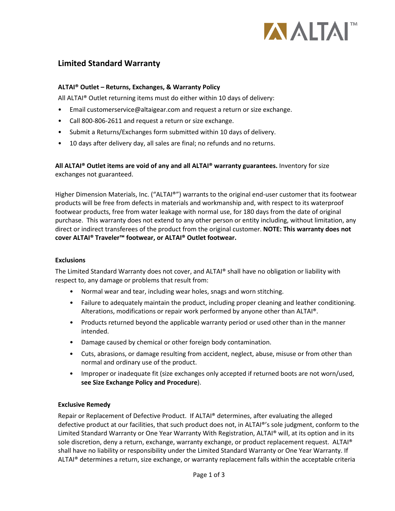

# **Limited Standard Warranty**

### **ALTAI® Outlet – Returns, Exchanges, & Warranty Policy**

All ALTAI® Outlet returning items must do either within 10 days of delivery:

- Email customerservice@altaigear.com and request a return or size exchange.
- Call 800-806-2611 and request a return or size exchange.
- Submit a Returns/Exchanges form submitted within 10 days of delivery.
- 10 days after delivery day, all sales are final; no refunds and no returns.

**All ALTAI® Outlet items are void of any and all ALTAI® warranty guarantees.** Inventory for size exchanges not guaranteed.

Higher Dimension Materials, Inc. ("ALTAI®") warrants to the original end-user customer that its footwear products will be free from defects in materials and workmanship and, with respect to its waterproof footwear products, free from water leakage with normal use, for 180 days from the date of original purchase. This warranty does not extend to any other person or entity including, without limitation, any direct or indirect transferees of the product from the original customer. **NOTE: This warranty does not cover ALTAI® Traveler™ footwear, or ALTAI® Outlet footwear.**

### **Exclusions**

The Limited Standard Warranty does not cover, and ALTAI® shall have no obligation or liability with respect to, any damage or problems that result from:

- Normal wear and tear, including wear holes, snags and worn stitching.
- Failure to adequately maintain the product, including proper cleaning and leather conditioning. Alterations, modifications or repair work performed by anyone other than ALTAI®.
- Products returned beyond the applicable warranty period or used other than in the manner intended.
- Damage caused by chemical or other foreign body contamination.
- Cuts, abrasions, or damage resulting from accident, neglect, abuse, misuse or from other than normal and ordinary use of the product.
- Improper or inadequate fit (size exchanges only accepted if returned boots are not worn/used, **see Size Exchange Policy and Procedure**).

### **Exclusive Remedy**

Repair or Replacement of Defective Product. If ALTAI® determines, after evaluating the alleged defective product at our facilities, that such product does not, in ALTAI®'s sole judgment, conform to the Limited Standard Warranty or One Year Warranty With Registration, ALTAI® will, at its option and in its sole discretion, deny a return, exchange, warranty exchange, or product replacement request. ALTAI® shall have no liability or responsibility under the Limited Standard Warranty or One Year Warranty. If ALTAI® determines a return, size exchange, or warranty replacement falls within the acceptable criteria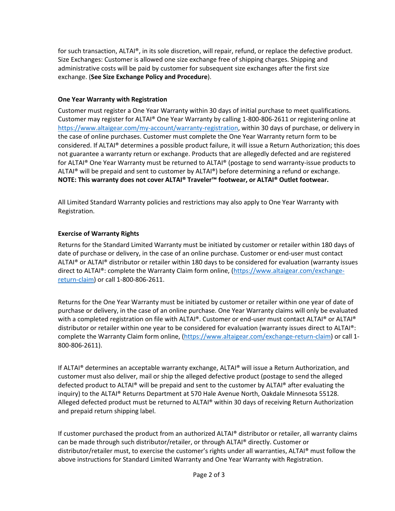for such transaction, ALTAI®, in its sole discretion, will repair, refund, or replace the defective product. Size Exchanges: Customer is allowed one size exchange free of shipping charges. Shipping and administrative costs will be paid by customer for subsequent size exchanges after the first size exchange. (**See Size Exchange Policy and Procedure**).

### **One Year Warranty with Registration**

Customer must register a One Year Warranty within 30 days of initial purchase to meet qualifications. Customer may register for ALTAI® One Year Warranty by calling 1-800-806-2611 or registering online at [https://www.altaigear.com/my-account/warranty-registration,](https://www.altaigear.com/my-account/warranty-registration/) within 30 days of purchase, or delivery in the case of online purchases. Customer must complete the One Year Warranty return form to be considered. If ALTAI® determines a possible product failure, it will issue a Return Authorization; this does not guarantee a warranty return or exchange. Products that are allegedly defected and are registered for ALTAI® One Year Warranty must be returned to ALTAI® (postage to send warranty-issue products to ALTAI® will be prepaid and sent to customer by ALTAI®) before determining a refund or exchange. **NOTE: This warranty does not cover ALTAI® Traveler™ footwear, or ALTAI® Outlet footwear.**

All Limited Standard Warranty policies and restrictions may also apply to One Year Warranty with Registration.

# **Exercise of Warranty Rights**

Returns for the Standard Limited Warranty must be initiated by customer or retailer within 180 days of date of purchase or delivery, in the case of an online purchase. Customer or end-user must contact ALTAI® or ALTAI® distributor or retailer within 180 days to be considered for evaluation (warranty issues direct to ALTAI®: complete the Warranty Claim form online, [\(https://www.altaigear.com/exchange](https://www.altaigear.com/exchange-return-claim)[return-claim\)](https://www.altaigear.com/exchange-return-claim) or call 1-800-806-2611.

Returns for the One Year Warranty must be initiated by customer or retailer within one year of date of purchase or delivery, in the case of an online purchase. One Year Warranty claims will only be evaluated with a completed registration on file with ALTAI®. Customer or end-user must contact ALTAI® or ALTAI® distributor or retailer within one year to be considered for evaluation (warranty issues direct to ALTAI®: complete the Warranty Claim form online, [\(https://www.altaigear.com/exchange-return-claim\)](https://www.altaigear.com/exchange-return-claim) or call 1- 800-806-2611).

If ALTAI® determines an acceptable warranty exchange, ALTAI® will issue a Return Authorization, and customer must also deliver, mail or ship the alleged defective product (postage to send the alleged defected product to ALTAI® will be prepaid and sent to the customer by ALTAI® after evaluating the inquiry) to the ALTAI® Returns Department at 570 Hale Avenue North, Oakdale Minnesota 55128. Alleged defected product must be returned to ALTAI® within 30 days of receiving Return Authorization and prepaid return shipping label.

If customer purchased the product from an authorized ALTAI® distributor or retailer, all warranty claims can be made through such distributor/retailer, or through ALTAI® directly. Customer or distributor/retailer must, to exercise the customer's rights under all warranties, ALTAI® must follow the above instructions for Standard Limited Warranty and One Year Warranty with Registration.